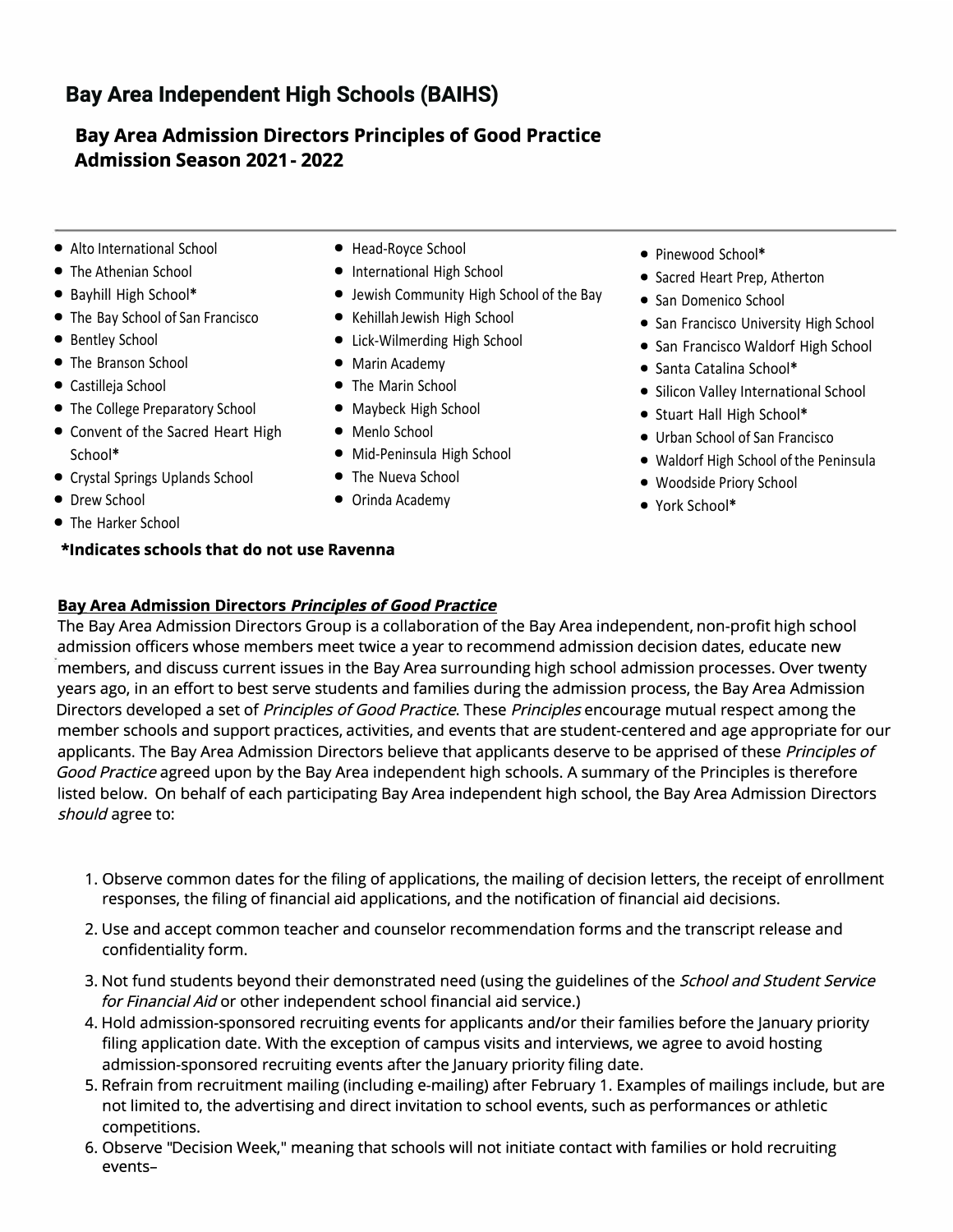# **Bay Area Independent High Schools (BAIHS)**

## **Bay Area Admission Directors Principles of Good Practice Admission Season 2021 - 2022**

- **•** Alto International School
- **•** The Athenian School
- **•** Bayhill High School**\***
- **•** The Bay School of San Francisco
- **•** Bentley School
- **•** The Branson School
- **•** Castilleja School
- **•** The College Preparatory School
- **•** Convent of the Sacred Heart High School**\***
- **•** Crystal Springs Uplands School
- **•** Drew School
- **•** The Harker School

#### **\*Indicates schools that do not use Ravenna**

- **•** Head-Royce School
- **•** International High School
- **•** Jewish Community High School of the Bay
- **•** Kehillah Jewish High School
- **•** Lick-Wilmerding High School
- **•** Marin Academy
- **•** The Marin School
- **•** Maybeck High School
- **•** Menlo School
- **•** Mid-Peninsula High School
- **•** The Nueva School
- **•** Orinda Academy
- **•** Pinewood School**\***
- **•** Sacred Heart Prep, Atherton
- **•** San Domenico School
- **•** San Francisco University High School
- **•** San Francisco Waldorf High School
- **•** Santa Catalina School**\***
- **•** Silicon Valley International School
- **•** Stuart Hall High School**\***
- **•** Urban School of San Francisco
- **•** Waldorf High School of the Peninsula
- **•** Woodside Priory School
- **•** York School**\***

### **BaY- Area Admission Directors** *Principles of Good Practice*

The Bay Area Admission Directors Group is a collaboration of the Bay Area independent, non-profit high school admission officers whose members meet twice a year to recommend admission decision dates, educate new members, and discuss current issues in the Bay Area surrounding high school admission processes. Over twenty years ago, in an effort to best serve students and families during the admission process, the Bay Area Admission Directors developed a set of *Principles ofGood Practice.* These *Principles* encourage mutual respect among the member schools and support practices, activities, and events that are student-centered and age appropriate for our applicants. The Bay Area Admission Directors believe that applicants deserve to be apprised of these *Principles of Good Practice* agreed upon by the Bay Area independent high schools. A summary of the Principles is therefore listed below. On behalf of each participating Bay Area independent high school, the Bay Area Admission Directors should agree to:

- 1. Observe common dates for the filing of applications, the mailing of decision letters, the receipt of enrollment responses, the filing of financial aid applications, and the notification of financial aid decisions.
- 2. Use and accept common teacher and counselor recommendation forms and the transcript release and confidentiality form.
- 3. Not fund students beyond their demonstrated need (using the guidelines of the *School and Student Service for Financial Aid* or other independent school financial aid service.)
- 4. Hold admission-sponsored recruiting events for applicants and/or their families before the January priority filing application date. With the exception of campus visits and interviews, we agree to avoid hosting admission-sponsored recruiting events after the January priority filing date.
- 5. Refrain from recruitment mailing (including e-mailing) after February 1. Examples of mailings include, but are not limited to, the advertising and direct invitation to school events, such as performances or athletic competitions.
- 6. Observe "Decision Week," meaning that schools will not initiate contact with families or hold recruiting events-